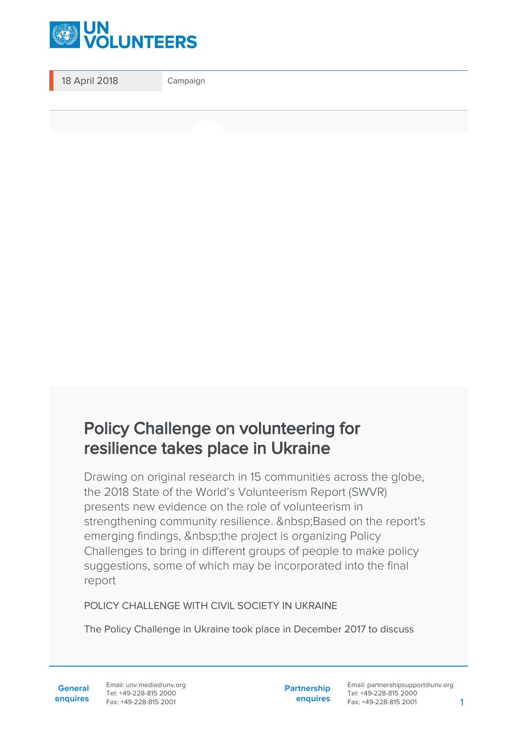

18 April 2018 Campaign

## Policy Challenge on volunteering for resilience takes place in Ukraine

Drawing on original research in 15 communities across the globe, the 2018 State of the World's Volunteerism Report (SWVR) presents new evidence on the role of volunteerism in strengthening community resilience. Based on the report's emerging findings, the project is organizing Policy Challenges to bring in different groups of people to make policy suggestions, some of which may be incorporated into the final report

## POLICY CHALLENGE WITH CIVIL SOCIETY IN UKRAINE

The Policy Challenge in Ukraine took place in December 2017 to discuss

**General enquires** **Partnership enquires**